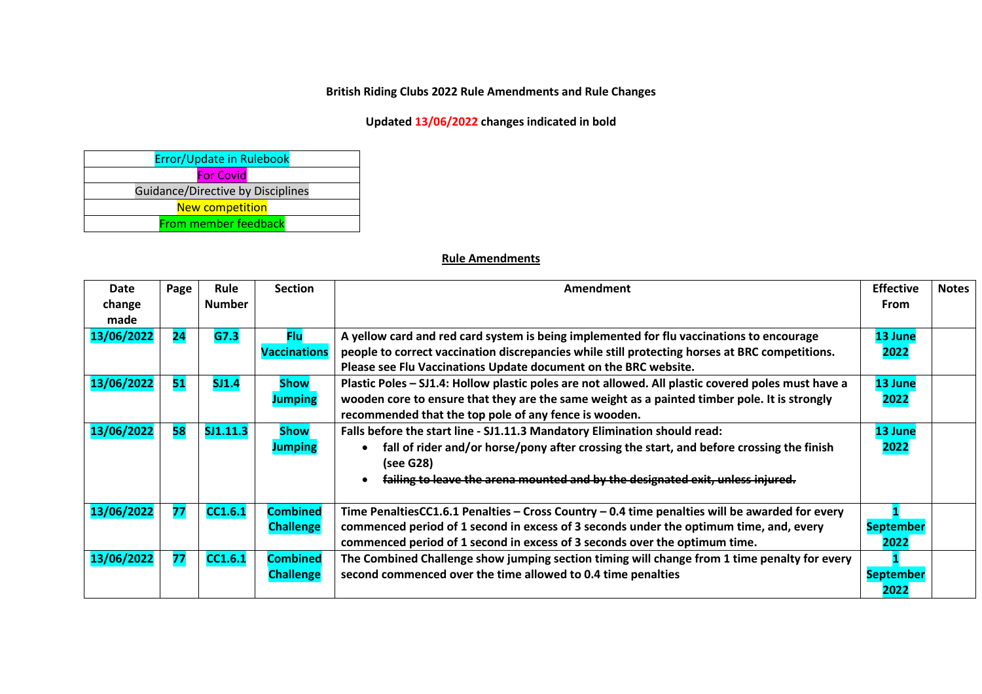## **British Riding Clubs 2022 Rule Amendments and Rule Changes**

## **Updated 13/06/2022 changes indicated in bold**

| Error/Update in Rulebook          |  |  |  |  |  |  |  |
|-----------------------------------|--|--|--|--|--|--|--|
| <b>For Covid</b>                  |  |  |  |  |  |  |  |
| Guidance/Directive by Disciplines |  |  |  |  |  |  |  |
| <b>New competition</b>            |  |  |  |  |  |  |  |
| <b>From member feedback</b>       |  |  |  |  |  |  |  |

## **Rule Amendments**

| Date<br>change<br>made | Page | <b>Rule</b><br><b>Number</b> | <b>Section</b>                      | Amendment                                                                                                                                                                                                                                                              | <b>Effective</b><br>From | <b>Notes</b> |
|------------------------|------|------------------------------|-------------------------------------|------------------------------------------------------------------------------------------------------------------------------------------------------------------------------------------------------------------------------------------------------------------------|--------------------------|--------------|
| 13/06/2022             | 24   | G7.3                         | <b>Flu</b><br><b>Vaccinations</b>   | A yellow card and red card system is being implemented for flu vaccinations to encourage<br>people to correct vaccination discrepancies while still protecting horses at BRC competitions.<br>Please see Flu Vaccinations Update document on the BRC website.          | 13 June<br>2022          |              |
| 13/06/2022             | 51   | SJ1.4                        | <b>Show</b><br><b>Jumping</b>       | Plastic Poles – SJ1.4: Hollow plastic poles are not allowed. All plastic covered poles must have a<br>wooden core to ensure that they are the same weight as a painted timber pole. It is strongly<br>recommended that the top pole of any fence is wooden.            | 13 June<br>2022          |              |
| 13/06/2022             | 58   | SJ1.11.3                     | <b>Show</b><br><b>Jumping</b>       | Falls before the start line - SJ1.11.3 Mandatory Elimination should read:<br>fall of rider and/or horse/pony after crossing the start, and before crossing the finish<br>(see G28)<br>failing to leave the arena mounted and by the designated exit, unless injured.   | 13 June<br>2022          |              |
| 13/06/2022             | 77   | <b>CC1.6.1</b>               | <b>Combined</b><br><b>Challenge</b> | Time PenaltiesCC1.6.1 Penalties - Cross Country - 0.4 time penalties will be awarded for every<br>commenced period of 1 second in excess of 3 seconds under the optimum time, and, every<br>commenced period of 1 second in excess of 3 seconds over the optimum time. | <b>September</b><br>2022 |              |
| 13/06/2022             | 77   | CC1.6.1                      | <b>Combined</b><br><b>Challenge</b> | The Combined Challenge show jumping section timing will change from 1 time penalty for every<br>second commenced over the time allowed to 0.4 time penalties                                                                                                           |                          |              |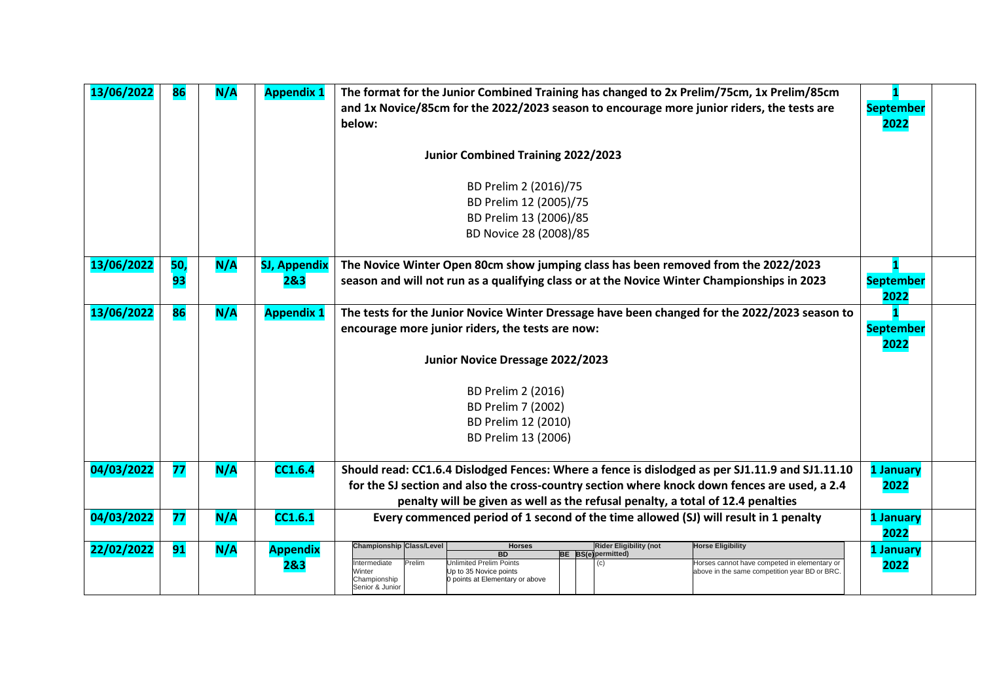| 13/06/2022 | 86        | N/A | <b>Appendix 1</b>          | The format for the Junior Combined Training has changed to 2x Prelim/75cm, 1x Prelim/85cm<br>and 1x Novice/85cm for the 2022/2023 season to encourage more junior riders, the tests are<br>below:                                                                                                                                                                                                                              | <b>September</b><br>2022 |
|------------|-----------|-----|----------------------------|--------------------------------------------------------------------------------------------------------------------------------------------------------------------------------------------------------------------------------------------------------------------------------------------------------------------------------------------------------------------------------------------------------------------------------|--------------------------|
|            |           |     |                            | Junior Combined Training 2022/2023                                                                                                                                                                                                                                                                                                                                                                                             |                          |
|            |           |     |                            | BD Prelim 2 (2016)/75<br>BD Prelim 12 (2005)/75<br>BD Prelim 13 (2006)/85<br>BD Novice 28 (2008)/85                                                                                                                                                                                                                                                                                                                            |                          |
| 13/06/2022 | 50,<br>93 | N/A | <b>SJ, Appendix</b><br>2&3 | The Novice Winter Open 80cm show jumping class has been removed from the 2022/2023<br>season and will not run as a qualifying class or at the Novice Winter Championships in 2023                                                                                                                                                                                                                                              | <b>September</b><br>2022 |
| 13/06/2022 | 86        | N/A | <b>Appendix 1</b>          | The tests for the Junior Novice Winter Dressage have been changed for the 2022/2023 season to<br>encourage more junior riders, the tests are now:                                                                                                                                                                                                                                                                              | <b>September</b><br>2022 |
|            |           |     |                            | Junior Novice Dressage 2022/2023                                                                                                                                                                                                                                                                                                                                                                                               |                          |
|            |           |     |                            | BD Prelim 2 (2016)                                                                                                                                                                                                                                                                                                                                                                                                             |                          |
|            |           |     |                            | BD Prelim 7 (2002)                                                                                                                                                                                                                                                                                                                                                                                                             |                          |
|            |           |     |                            | BD Prelim 12 (2010)                                                                                                                                                                                                                                                                                                                                                                                                            |                          |
|            |           |     |                            | BD Prelim 13 (2006)                                                                                                                                                                                                                                                                                                                                                                                                            |                          |
| 04/03/2022 | 77        | N/A | <b>CC1.6.4</b>             | Should read: CC1.6.4 Dislodged Fences: Where a fence is dislodged as per SJ1.11.9 and SJ1.11.10<br>for the SJ section and also the cross-country section where knock down fences are used, a 2.4<br>penalty will be given as well as the refusal penalty, a total of 12.4 penalties                                                                                                                                            | 1 January<br>2022        |
| 04/03/2022 | 77        | N/A | CC1.6.1                    | Every commenced period of 1 second of the time allowed (SJ) will result in 1 penalty                                                                                                                                                                                                                                                                                                                                           | 1 January<br>2022        |
| 22/02/2022 | 91        | N/A | <b>Appendix</b><br>283     | <b>Rider Eligibility (not</b><br><b>Championship Class/Level</b><br><b>Horse Eligibility</b><br><b>Horses</b><br><b>BD</b><br><b>BE</b> BS(e) permitted)<br>Prelim<br>Unlimited Prelim Points<br>ntermediate<br>Horses cannot have competed in elementary or<br>(c)<br>above in the same competition year BD or BRC.<br>Ninter<br>Up to 35 Novice points<br>0 points at Elementary or above<br>Championship<br>Senior & Junior | 1 January<br>2022        |